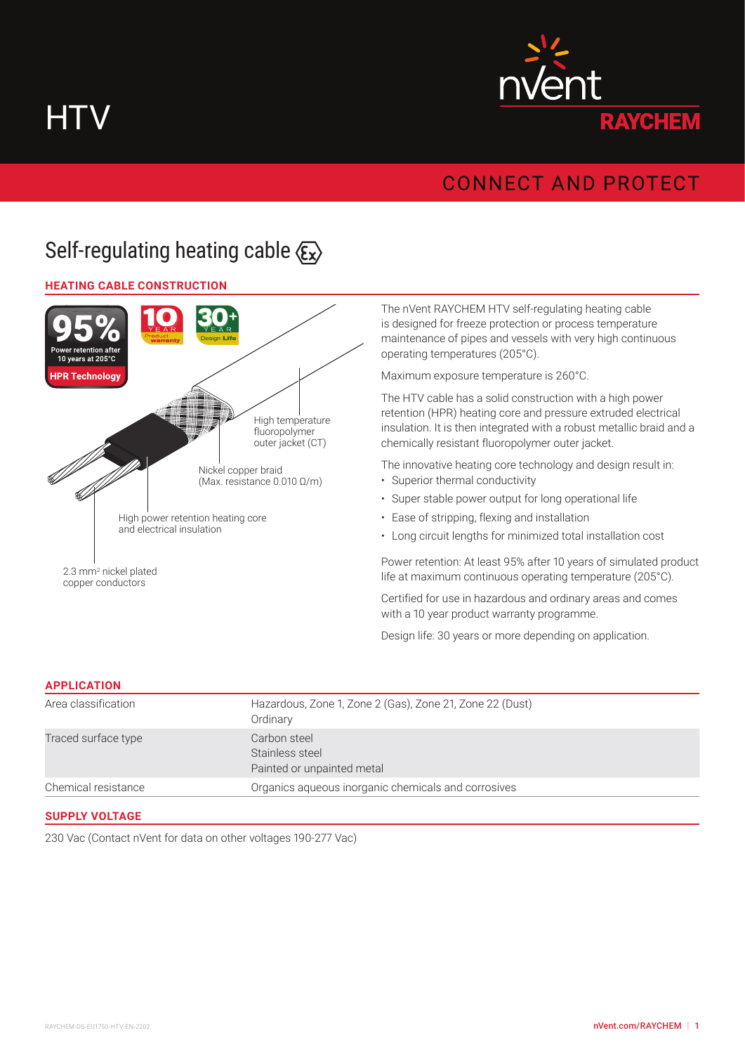**HTV** 



## **CONNECT AND PROTECT**

# Self-regulating heating cable  $\langle \xi_x \rangle$

## **HEATING CABLE CONSTRUCTION**



The nVent RAYCHEM HTV self-regulating heating cable is designed for freeze protection or process temperature maintenance of pipes and vessels with very high continuous operating temperatures (205°C).

Maximum exposure temperature is 260°C.

The HTV cable has a solid construction with a high power retention (HPR) heating core and pressure extruded electrical insulation. It is then integrated with a robust metallic braid and a chemically resistant fluoropolymer outer jacket.

The innovative heating core technology and design result in:

- Superior thermal conductivity
- Super stable power output for long operational life
- Ease of stripping, flexing and installation
- Long circuit lengths for minimized total installation cost

Power retention: At least 95% after 10 years of simulated product life at maximum continuous operating temperature (205°C).

Certified for use in hazardous and ordinary areas and comes with a 10 year product warranty programme.

Design life: 30 years or more depending on application.

#### **APPLICATION**

| Chemical resistance | Painted or unpainted metal<br>Organics aqueous inorganic chemicals and corrosives |
|---------------------|-----------------------------------------------------------------------------------|
| Traced surface type | Carbon steel<br>Stainless steel                                                   |
| Area classification | Hazardous, Zone 1, Zone 2 (Gas), Zone 21, Zone 22 (Dust)<br>Ordinary              |

#### **SUPPLY VOLTAGE**

230 Vac (Contact nVent for data on other voltages 190-277 Vac)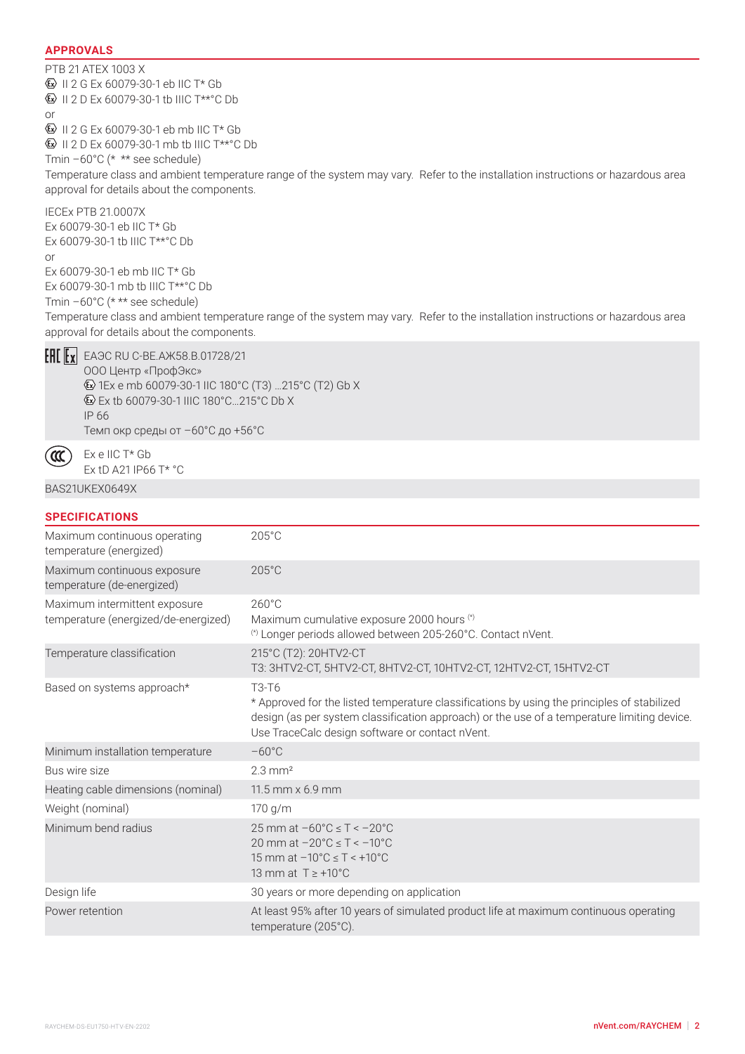## **APPROVALS**

PTB 21 ATEX 1003 X  $\textcircled{k}$  II 2 G Ex 60079-30-1 eb IIC T\* Gb **E** II 2 D Ex 60079-30-1 tb IIIC T\*\*°C Db or II 2 G Ex 60079-30-1 eb mb IIC T\* Gb  $\textcircled{k}$  II 2 D Ex 60079-30-1 mb tb IIIC T\*\* °C Db Tmin –60°C (\* \*\* see schedule) Temperature class and ambient temperature range of the system may vary. Refer to the installation instructions or hazardous area approval for details about the components. IECEx PTB 21.0007X Ex 60079-30-1 eb IIC T\* Gb Ex 60079-30-1 tb IIIC T\*\*°C Db or Ex 60079-30-1 eb mb IIC T\* Gb Ex 60079-30-1 mb tb IIIC T\*\*°C Db Tmin –60°C (\* \*\* see schedule) Temperature class and ambient temperature range of the system may vary. Refer to the installation instructions or hazardous area approval for details about the components.



 $\alpha$ 

 $E[\mathbf{E} \mathbf{x}]$  EA $\Theta$ C RU C-BE.A $\mathbf{X}$ 58.B.01728/21 ООО Центр «ПрофЭкс» 1Ex e mb 60079-30-1 IIC 180°C (T3) …215°C (T2) Gb X Ex tb 60079-30-1 IIIC 180°C…215°C Db X IP 66

Темп окр среды от –60°C до +56°C

Ex e IIC T\* Gb Ex tD A21 IP66 T\* °C

#### BAS21UKEX0649X

| <b>SPECIFICATIONS</b>                                                 |                                                                                                                                                                                                                                                                                 |
|-----------------------------------------------------------------------|---------------------------------------------------------------------------------------------------------------------------------------------------------------------------------------------------------------------------------------------------------------------------------|
| Maximum continuous operating<br>temperature (energized)               | $205^{\circ}$ C                                                                                                                                                                                                                                                                 |
| Maximum continuous exposure<br>temperature (de-energized)             | $205^{\circ}$ C                                                                                                                                                                                                                                                                 |
| Maximum intermittent exposure<br>temperature (energized/de-energized) | $260^{\circ}$ C<br>Maximum cumulative exposure 2000 hours (*)<br>(*) Longer periods allowed between 205-260°C. Contact nVent.                                                                                                                                                   |
| Temperature classification                                            | 215°C (T2): 20HTV2-CT<br>T3: 3HTV2-CT, 5HTV2-CT, 8HTV2-CT, 10HTV2-CT, 12HTV2-CT, 15HTV2-CT                                                                                                                                                                                      |
| Based on systems approach*                                            | T <sub>3</sub> -T <sub>6</sub><br>* Approved for the listed temperature classifications by using the principles of stabilized<br>design (as per system classification approach) or the use of a temperature limiting device.<br>Use TraceCalc design software or contact nVent. |
| Minimum installation temperature                                      | $-60^{\circ}$ C                                                                                                                                                                                                                                                                 |
| Bus wire size                                                         | $2.3 \text{ mm}^2$                                                                                                                                                                                                                                                              |
| Heating cable dimensions (nominal)                                    | $11.5$ mm $\times$ 6.9 mm                                                                                                                                                                                                                                                       |
| Weight (nominal)                                                      | 170 g/m                                                                                                                                                                                                                                                                         |
| Minimum bend radius                                                   | 25 mm at $-60^{\circ}$ C $\leq$ T $\leq$ $-20^{\circ}$ C<br>20 mm at $-20^{\circ}$ C $\leq T < -10^{\circ}$ C<br>15 mm at $-10^{\circ}$ C $\leq T < +10^{\circ}$ C<br>13 mm at $T \geq +10^{\circ}$ C                                                                           |
| Design life                                                           | 30 years or more depending on application                                                                                                                                                                                                                                       |
| Power retention                                                       | At least 95% after 10 years of simulated product life at maximum continuous operating<br>temperature (205°C).                                                                                                                                                                   |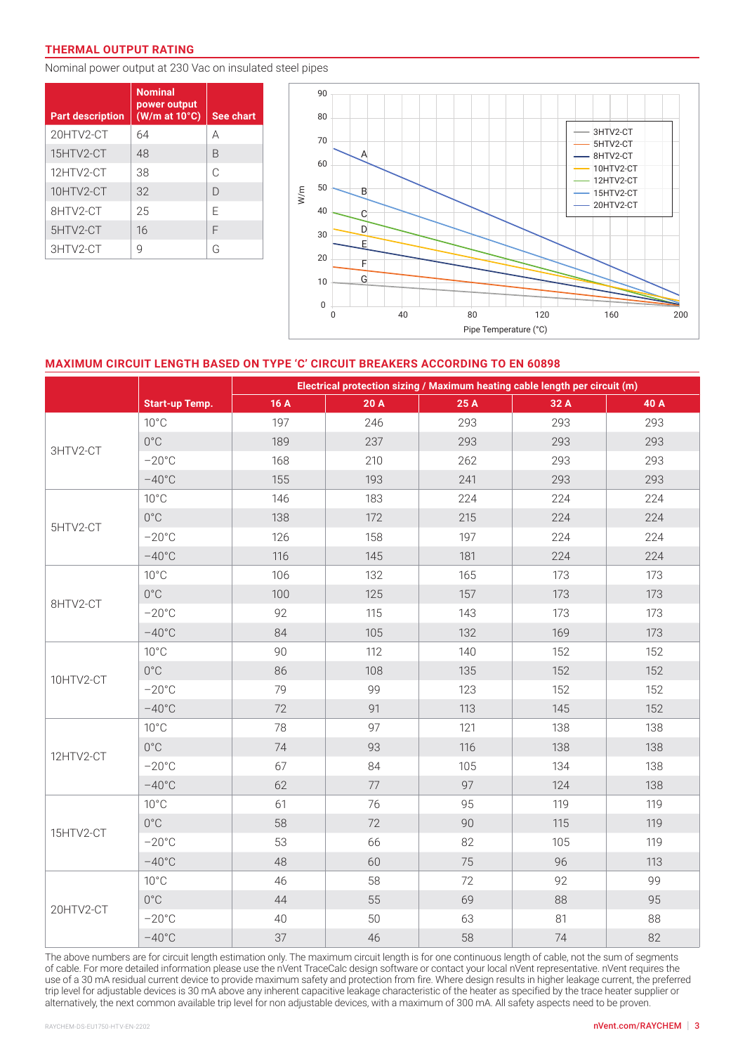#### **THERMAL OUTPUT RATING**

Nominal power output at 230 Vac on insulated steel pipes

| <b>Part description</b> | <b>Nominal</b><br>power output<br>$(W/m$ at 10 $°C)$ | See chart |
|-------------------------|------------------------------------------------------|-----------|
| 20HTV2-CT               | 64                                                   | А         |
| 15HTV2-CT               | 48                                                   | B         |
| 12HTV2-CT               | 38                                                   | C         |
| 10HTV2-CT               | 32                                                   | $\Box$    |
| 8HTV2-CT                | 25                                                   | F         |
| 5HTV2-CT                | 16                                                   | F         |
| 3HTV2-CT                | 9                                                    | G         |



## **MAXIMUM CIRCUIT LENGTH BASED ON TYPE 'C' CIRCUIT BREAKERS ACCORDING TO EN 60898**

|           | Electrical protection sizing / Maximum heating cable length per circuit (m) |      |        |      |      |      |
|-----------|-----------------------------------------------------------------------------|------|--------|------|------|------|
|           | <b>Start-up Temp.</b>                                                       | 16 A | 20 A   | 25 A | 32 A | 40 A |
| 3HTV2-CT  | $10^{\circ}$ C                                                              | 197  | 246    | 293  | 293  | 293  |
|           | $0^{\circ} \text{C}$                                                        | 189  | 237    | 293  | 293  | 293  |
|           | $-20^{\circ}$ C                                                             | 168  | 210    | 262  | 293  | 293  |
|           | $-40^{\circ}$ C                                                             | 155  | 193    | 241  | 293  | 293  |
| 5HTV2-CT  | $10^{\circ}$ C                                                              | 146  | 183    | 224  | 224  | 224  |
|           | $0^{\circ}$ C                                                               | 138  | 172    | 215  | 224  | 224  |
|           | $-20^{\circ}$ C                                                             | 126  | 158    | 197  | 224  | 224  |
|           | $-40^{\circ}$ C                                                             | 116  | 145    | 181  | 224  | 224  |
| 8HTV2-CT  | $10^{\circ}$ C                                                              | 106  | 132    | 165  | 173  | 173  |
|           | $0^{\circ}$ C                                                               | 100  | 125    | 157  | 173  | 173  |
|           | $-20^{\circ}$ C                                                             | 92   | 115    | 143  | 173  | 173  |
|           | $-40^{\circ}$ C                                                             | 84   | 105    | 132  | 169  | 173  |
|           | $10^{\circ}$ C                                                              | 90   | 112    | 140  | 152  | 152  |
| 10HTV2-CT | $0^{\circ}$ C                                                               | 86   | 108    | 135  | 152  | 152  |
|           | $-20^{\circ}$ C                                                             | 79   | 99     | 123  | 152  | 152  |
|           | $-40^{\circ}$ C                                                             | 72   | 91     | 113  | 145  | 152  |
| 12HTV2-CT | $10^{\circ}$ C                                                              | 78   | 97     | 121  | 138  | 138  |
|           | $0^{\circ}$                                                                 | 74   | 93     | 116  | 138  | 138  |
|           | $-20^{\circ}$ C                                                             | 67   | 84     | 105  | 134  | 138  |
|           | $-40^{\circ}$ C                                                             | 62   | $77\,$ | 97   | 124  | 138  |
|           | $10^{\circ}$ C                                                              | 61   | 76     | 95   | 119  | 119  |
|           | $0^{\circ}$                                                                 | 58   | 72     | 90   | 115  | 119  |
| 15HTV2-CT | $-20^{\circ}$ C                                                             | 53   | 66     | 82   | 105  | 119  |
|           | $-40^{\circ}$ C                                                             | 48   | 60     | 75   | 96   | 113  |
| 20HTV2-CT | $10^{\circ}$ C                                                              | 46   | 58     | 72   | 92   | 99   |
|           | $0^{\circ}$ C                                                               | 44   | 55     | 69   | 88   | 95   |
|           | $-20^{\circ}$ C                                                             | 40   | 50     | 63   | 81   | 88   |
|           | $-40^{\circ}$ C                                                             | 37   | 46     | 58   | 74   | 82   |

The above numbers are for circuit length estimation only. The maximum circuit length is for one continuous length of cable, not the sum of segments of cable. For more detailed information please use the nVent TraceCalc design software or contact your local nVent representative. nVent requires the use of a 30 mA residual current device to provide maximum safety and protection from fire. Where design results in higher leakage current, the preferred trip level for adjustable devices is 30 mA above any inherent capacitive leakage characteristic of the heater as specified by the trace heater supplier or alternatively, the next common available trip level for non adjustable devices, with a maximum of 300 mA. All safety aspects need to be proven.